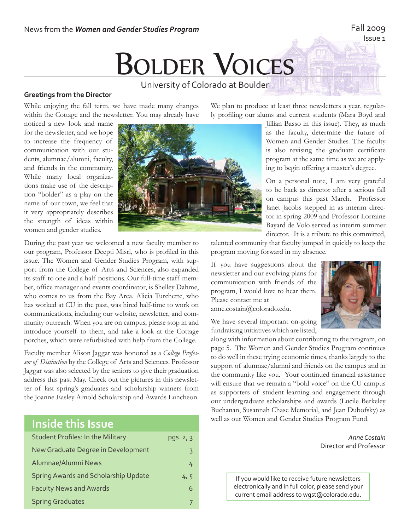# **BOLDER VOICES** University of Colorado at Boulder

## **Greetings from the Director**

While enjoying the fall term, we have made many changes within the Cottage and the newsletter. You may already have

noticed a new look and name for the newsletter, and we hope to increase the frequency of communication with our students, alumnae/alumni, faculty, and friends in the community. While many local organizations make use of the description "bolder" as a play on the name of our town, we feel that it very appropriately describes the strength of ideas within women and gender studies.



We plan to produce at least three newsletters a year, regularly profiling our alums and current students (Mara Boyd and

> Jillian Basso in this issue). They, as much as the faculty, determine the future of Women and Gender Studies. The faculty is also revising the graduate certificate program at the same time as we are applying to begin offering a master's degree.

> On a personal note, I am very grateful to be back as director after a serious fall on campus this past March. Professor Janet Jacobs stepped in as interim director in spring 2009 and Professor Lorraine Bayard de Volo served as interim summer director. It is a tribute to this committed,

During the past year we welcomed a new faculty member to our program, Professor Deepti Misri, who is profiled in this issue. The Women and Gender Studies Program, with support from the College of Arts and Sciences, also expanded its staff to one and a half positions. Our full-time staff member, office manager and events coordinator, is Shelley Dahme, who comes to us from the Bay Area. Alicia Turchette, who has worked at CU in the past, was hired half-time to work on communications, including our website, newsletter, and community outreach. When you are on campus, please stop in and introduce yourself to them, and take a look at the Cottage porches, which were refurbished with help from the College.

Faculty member Alison Jaggar was honored as a *College Professor of Distinction* by the College of Arts and Sciences. Professor Jaggar was also selected by the seniors to give their graduation address this past May. Check out the pictures in this newsletter of last spring's graduates and scholarship winners from the Joanne Easley Arnold Scholarship and Awards Luncheon.

## **Inside this Issue**

| <b>Student Profiles: In the Military</b> | pqs. 2, 3 |
|------------------------------------------|-----------|
| New Graduate Degree in Development       | 3         |
| Alumnae/Alumni News                      | 4         |
| Spring Awards and Scholarship Update     | 4, 5      |
| <b>Faculty News and Awards</b>           | 6         |
| <b>Spring Graduates</b>                  |           |

talented community that faculty jumped in quickly to keep the program moving forward in my absence.

If you have suggestions about the newsletter and our evolving plans for communication with friends of the program, I would love to hear them. Please contact me at anne.costain@colorado.edu.

We have several important on-going fundraising initiatives which are listed,

along with information about contributing to the program, on page 5. The Women and Gender Studies Program continues to do well in these trying economic times, thanks largely to the support of alumnae/alumni and friends on the campus and in the community like you. Your continued financial assistance will ensure that we remain a "bold voice" on the CU campus as supporters of student learning and engagement through our undergraduate scholarships and awards (Lucile Berkeley Buchanan, Susannah Chase Memorial, and Jean Dubofsky) as well as our Women and Gender Studies Program Fund.

> *Anne Costain* Director and Professor

If you would like to receive future newsletters electronically and in full color, please send your current email address to wgst@colorado.edu.



#### Fall 2009 Issue 1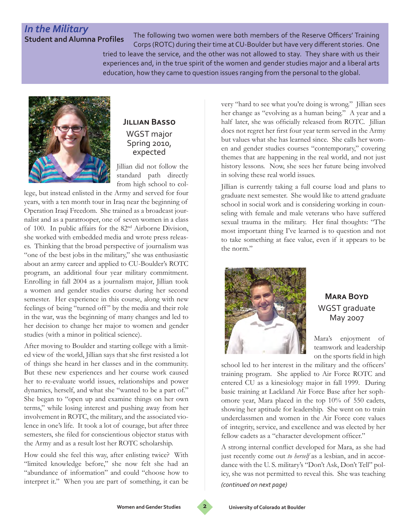# *In the Military*

**Student and Alumna Profiles** The following two women were both members of the Reserve Officers' Training Corps (ROTC) during their time at CU-Boulder but have very different stories. One

> tried to leave the service, and the other was not allowed to stay. They share with us their experiences and, in the true spirit of the women and gender studies major and a liberal arts education, how they came to question issues ranging from the personal to the global.



## **Jillian Basso** WGST major Spring 2010, expected

Jillian did not follow the standard path directly from high school to col-

lege, but instead enlisted in the Army and served for four years, with a ten month tour in Iraq near the beginning of Operation Iraqi Freedom. She trained as a broadcast journalist and as a paratrooper, one of seven women in a class of 100. In public affairs for the 82nd Airborne Division, she worked with embedded media and wrote press releases. Thinking that the broad perspective of journalism was "one of the best jobs in the military," she was enthusiastic about an army career and applied to CU-Boulder's ROTC program, an additional four year military commitment. Enrolling in fall 2004 as a journalism major, Jillian took a women and gender studies course during her second semester. Her experience in this course, along with new feelings of being "turned off " by the media and their role in the war, was the beginning of many changes and led to her decision to change her major to women and gender studies (with a minor in political science).

After moving to Boulder and starting college with a limited view of the world, Jillian says that she first resisted a lot of things she heard in her classes and in the community. But these new experiences and her course work caused her to re-evaluate world issues, relationships and power dynamics, herself, and what she "wanted to be a part of." She began to "open up and examine things on her own terms," while losing interest and pushing away from her involvement in ROTC, the military, and the associated violence in one's life. It took a lot of courage, but after three semesters, she filed for conscientious objector status with the Army and as a result lost her ROTC scholarship.

How could she feel this way, after enlisting twice? With "limited knowledge before," she now felt she had an "abundance of information" and could "choose how to interpret it." When you are part of something, it can be

very "hard to see what you're doing is wrong." Jillian sees her change as "evolving as a human being." A year and a half later, she was officially released from ROTC. Jillian does not regret her first four year term served in the Army but values what she has learned since. She calls her women and gender studies courses "contemporary," covering themes that are happening in the real world, and not just history lessons. Now, she sees her future being involved in solving these real world issues.

Jillian is currently taking a full course load and plans to graduate next semester. She would like to attend graduate school in social work and is considering working in counseling with female and male veterans who have suffered sexual trauma in the military. Her final thoughts: "The most important thing I've learned is to question and not to take something at face value, even if it appears to be the norm."



## **Mara Boyd** WGST graduate May 2007

Mara's enjoyment of teamwork and leadership on the sports field in high

school led to her interest in the military and the officers' training program. She applied to Air Force ROTC and entered CU as a kinesiology major in fall 1999. During basic training at Lackland Air Force Base after her sophomore year, Mara placed in the top 10% of 550 cadets, showing her aptitude for leadership. She went on to train underclassmen and women in the Air Force core values of integrity, service, and excellence and was elected by her fellow cadets as a "character development officer."

A strong internal conflict developed for Mara, as she had just recently come out *to herself* as a lesbian, and in accordance with the U. S. military's "Don't Ask, Don't Tell" policy, she was not permitted to reveal this. She was teaching *(continued on next page)*

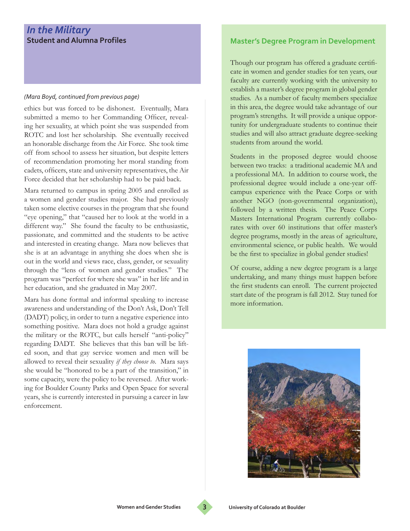## *In the Military*  **Student and Alumna Profiles**

#### *(Mara Boyd, continued from previous page)*

ethics but was forced to be dishonest. Eventually, Mara submitted a memo to her Commanding Officer, revealing her sexuality, at which point she was suspended from ROTC and lost her scholarship. She eventually received an honorable discharge from the Air Force. She took time off from school to assess her situation, but despite letters of recommendation promoting her moral standing from cadets, officers, state and university representatives, the Air Force decided that her scholarship had to be paid back.

Mara returned to campus in spring 2005 and enrolled as a women and gender studies major. She had previously taken some elective courses in the program that she found "eye opening," that "caused her to look at the world in a different way." She found the faculty to be enthusiastic, passionate, and committed and the students to be active and interested in creating change. Mara now believes that she is at an advantage in anything she does when she is out in the world and views race, class, gender, or sexuality through the "lens of women and gender studies." The program was "perfect for where she was" in her life and in her education, and she graduated in May 2007.

Mara has done formal and informal speaking to increase awareness and understanding of the Don't Ask, Don't Tell (DADT) policy, in order to turn a negative experience into something positive. Mara does not hold a grudge against the military or the ROTC, but calls herself "anti-policy" regarding DADT. She believes that this ban will be lifted soon, and that gay service women and men will be allowed to reveal their sexuality *if they choose to*. Mara says she would be "honored to be a part of the transition," in some capacity, were the policy to be reversed. After working for Boulder County Parks and Open Space for several years, she is currently interested in pursuing a career in law enforcement.

### **Master's Degree Program in Development**

Though our program has offered a graduate certificate in women and gender studies for ten years, our faculty are currently working with the university to establish a master's degree program in global gender studies. As a number of faculty members specialize in this area, the degree would take advantage of our program's strengths. It will provide a unique opportunity for undergraduate students to continue their studies and will also attract graduate degree-seeking students from around the world.

Students in the proposed degree would choose between two tracks: a traditional academic MA and a professional MA. In addition to course work, the professional degree would include a one-year offcampus experience with the Peace Corps or with another NGO (non-governmental organization), followed by a written thesis. The Peace Corps Masters International Program currently collaborates with over 60 institutions that offer master's degree programs, mostly in the areas of agriculture, environmental science, or public health. We would be the first to specialize in global gender studies!

Of course, adding a new degree program is a large undertaking, and many things must happen before the first students can enroll. The current projected start date of the program is fall 2012. Stay tuned for more information.



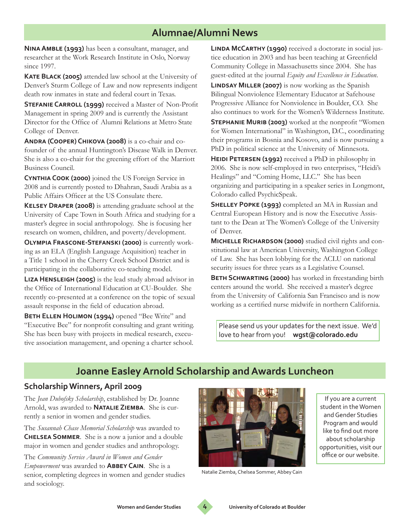# **Alumnae/Alumni News**

**Nina Amble (1993)** has been a consultant, manager, and researcher at the Work Research Institute in Oslo, Norway since 1997.

**Kate Black (2005)** attended law school at the University of Denver's Sturm College of Law and now represents indigent death row inmates in state and federal court in Texas.

**STEFANIE CARROLL (1999)** received a Master of Non-Profit Management in spring 2009 and is currently the Assistant Director for the Office of Alumni Relations at Metro State College of Denver.

**Andra (Cooper) Chikova (2008)** is a co-chair and cofounder of the annual Huntington's Disease Walk in Denver. She is also a co-chair for the greening effort of the Marriott Business Council.

**Cynthia Cook (2000)** joined the US Foreign Service in 2008 and is currently posted to Dhahran, Saudi Arabia as a Public Affairs Officer at the US Consulate there.

**Kelsey Draper (2008)** is attending graduate school at the University of Cape Town in South Africa and studying for a master's degree in social anthropology. She is focusing her research on women, children, and poverty/development.

**Olympia Frascone-Stefanski (2000)** is currently working as an ELA (English Language Acquisition) teacher in a Title 1 school in the Cherry Creek School District and is participating in the collaborative co-teaching model.

**Liza Hensleigh (2005)** is the lead study abroad advisor in the Office of International Education at CU-Boulder. She recently co-presented at a conference on the topic of sexual assault response in the field of education abroad.

**BETH ELLEN HOLIMON (1994)** opened "Bee Write" and "Executive Bee" for nonprofit consulting and grant writing. She has been busy with projects in medical research, executive association management, and opening a charter school.

**Linda McCarthy (1990)** received a doctorate in social justice education in 2003 and has been teaching at Greenfield Community College in Massachusetts since 2004. She has guest-edited at the journal *Equity and Excellence in Education*.

**LINDSAY MILLER (2007)** is now working as the Spanish Bilingual Nonviolence Elementary Educator at Safehouse Progressive Alliance for Nonviolence in Boulder, CO. She also continues to work for the Women's Wilderness Institute.

**Stephanie Murib (2003)** worked at the nonprofit "Women for Women International" in Washington, D.C., coordinating their programs in Bosnia and Kosovo, and is now pursuing a PhD in political science at the University of Minnesota.

**HEIDI PETERSEN (1992)** received a PhD in philosophy in 2006. She is now self-employed in two enterprises, "Heidi's Healings" and "Coming Home, LLC." She has been organizing and participating in a speaker series in Longmont, Colorado called PsychicSpeak.

**Shelley Popke (1993)** completed an MA in Russian and Central European History and is now the Executive Assistant to the Dean at The Women's College of the University of Denver.

**Michelle Richardson (2000)** studied civil rights and constitutional law at American University, Washington College of Law. She has been lobbying for the ACLU on national security issues for three years as a Legislative Counsel.

**BETH SCHWARTING (2000)** has worked in freestanding birth centers around the world. She received a master's degree from the University of California San Francisco and is now working as a certified nurse midwife in northern California.

Please send us your updates for the next issue. We'd love to hear from you! **wgst@colorado.edu**

# **Joanne Easley Arnold Scholarship and Awards Luncheon**

## **Scholarship Winners, April 2009**

The *Jean Dubofsky Scholarship*, established by Dr. Joanne Arnold, was awarded to **Natalie Ziemba**. She is currently a senior in women and gender studies.

The *Susannah Chase Memorial Scholarship* was awarded to **Chelsea Sommer**. She is a now a junior and a double major in women and gender studies and anthropology.

The *Community Service Award in Women and Gender Empowerment* was awarded to **Abbey Cain**. She is a senior, completing degrees in women and gender studies and sociology.



Natalie Ziemba, Chelsea Sommer, Abbey Cain

If you are a current student in the Women and Gender Studies Program and would like to find out more about scholarship opportunities, visit our office or our website.

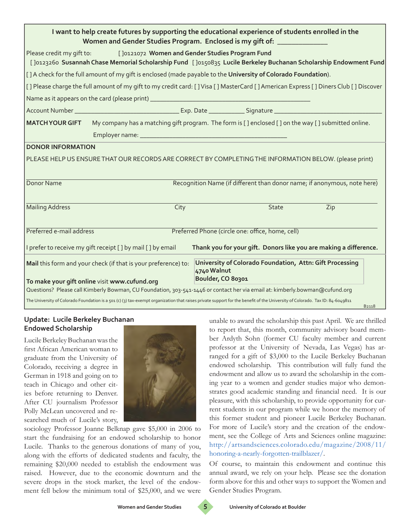| I want to help create futures by supporting the educational experience of students enrolled in the<br>Women and Gender Studies Program. Enclosed is my gift of: _______________                  |                                                                                                                    |                   |                                                          |                                                                          |  |
|--------------------------------------------------------------------------------------------------------------------------------------------------------------------------------------------------|--------------------------------------------------------------------------------------------------------------------|-------------------|----------------------------------------------------------|--------------------------------------------------------------------------|--|
| [J0121072 Women and Gender Studies Program Fund<br>Please credit my gift to:<br>[Jo12326o Susannah Chase Memorial Scholarship Fund [Jo150835 Lucile Berkeley Buchanan Scholarship Endowment Fund |                                                                                                                    |                   |                                                          |                                                                          |  |
| [1] A check for the full amount of my gift is enclosed (made payable to the University of Colorado Foundation).                                                                                  |                                                                                                                    |                   |                                                          |                                                                          |  |
| [1] Please charge the full amount of my gift to my credit card: [] Visa [] MasterCard [] American Express [] Diners Club [] Discover                                                             |                                                                                                                    |                   |                                                          |                                                                          |  |
|                                                                                                                                                                                                  |                                                                                                                    |                   |                                                          |                                                                          |  |
|                                                                                                                                                                                                  |                                                                                                                    |                   |                                                          |                                                                          |  |
|                                                                                                                                                                                                  | MATCH YOUR GIFT My company has a matching gift program. The form is [] enclosed [] on the way [] submitted online. |                   |                                                          |                                                                          |  |
|                                                                                                                                                                                                  |                                                                                                                    |                   |                                                          |                                                                          |  |
| <b>DONOR INFORMATION</b>                                                                                                                                                                         |                                                                                                                    |                   |                                                          |                                                                          |  |
| PLEASE HELP US ENSURE THAT OUR RECORDS ARE CORRECT BY COMPLETING THE INFORMATION BELOW. (please print)                                                                                           |                                                                                                                    |                   |                                                          |                                                                          |  |
| Donor Name                                                                                                                                                                                       |                                                                                                                    |                   |                                                          | Recognition Name (if different than donor name; if anonymous, note here) |  |
| <b>Mailing Address</b>                                                                                                                                                                           | City                                                                                                               |                   | State                                                    | Zip                                                                      |  |
| Preferred e-mail address<br>Preferred Phone (circle one: office, home, cell)                                                                                                                     |                                                                                                                    |                   |                                                          |                                                                          |  |
| I prefer to receive my gift receipt [ ] by mail [ ] by email<br>Thank you for your gift. Donors like you are making a difference.                                                                |                                                                                                                    |                   |                                                          |                                                                          |  |
|                                                                                                                                                                                                  | Mail this form and your check (if that is your preference) to:                                                     | 4740 Walnut       | University of Colorado Foundation, Attn: Gift Processing |                                                                          |  |
| To make your gift online visit www.cufund.org                                                                                                                                                    |                                                                                                                    | Boulder, CO 80301 |                                                          |                                                                          |  |
| Questions? Please call Kimberly Bowman, CU Foundation, 303-541-1446 or contact her via email at: kimberly.bowman@cufund.org                                                                      |                                                                                                                    |                   |                                                          |                                                                          |  |
| The University of Colorado Foundation is a 501 (c) (3) tax-exempt organization that raises private support for the benefit of the University of Colorado. Tax ID: 84-6049811<br><b>B2118</b>     |                                                                                                                    |                   |                                                          |                                                                          |  |

#### **Update: Lucile Berkeley Buchanan Endowed Scholarship**

Lucile Berkeley Buchanan was the first African American woman to graduate from the University of Colorado, receiving a degree in German in 1918 and going on to teach in Chicago and other cities before returning to Denver. After CU journalism Professor Polly McLean uncovered and researched much of Lucile's story,



sociology Professor Joanne Belknap gave \$5,000 in 2006 to start the fundraising for an endowed scholarship to honor Lucile. Thanks to the generous donations of many of you, along with the efforts of dedicated students and faculty, the remaining \$20,000 needed to establish the endowment was raised. However, due to the economic downturn and the severe drops in the stock market, the level of the endowment fell below the minimum total of \$25,000, and we were unable to award the scholarship this past April. We are thrilled to report that, this month, community advisory board member Ardyth Sohn (former CU faculty member and current professor at the University of Nevada, Las Vegas) has arranged for a gift of \$3,000 to the Lucile Berkeley Buchanan endowed scholarship. This contribution will fully fund the endowment and allow us to award the scholarship in the coming year to a women and gender studies major who demonstrates good academic standing and financial need. It is our pleasure, with this scholarship, to provide opportunity for current students in our program while we honor the memory of this former student and pioneer Lucile Berkeley Buchanan. For more of Lucile's story and the creation of the endowment, see the College of Arts and Sciences online magazine: http://artsandsciences.colorado.edu/magazine/2008/11/ honoring-a-nearly-forgotten-trailblazer/.

Of course, to maintain this endowment and continue this annual award, we rely on your help. Please see the donation form above for this and other ways to support the Women and Gender Studies Program.

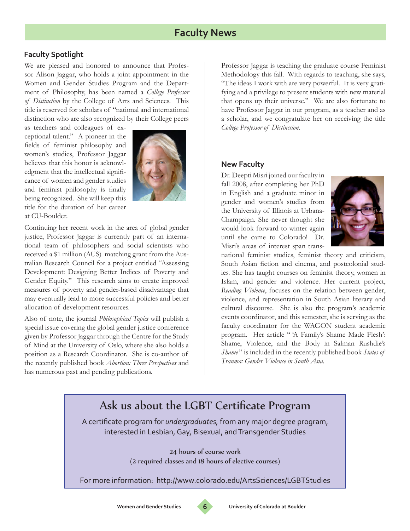## **Faculty News**

### **Faculty Spotlight**

We are pleased and honored to announce that Professor Alison Jaggar, who holds a joint appointment in the Women and Gender Studies Program and the Department of Philosophy, has been named a *College Professor of Distinction* by the College of Arts and Sciences. This title is reserved for scholars of "national and international distinction who are also recognized by their College peers

as teachers and colleagues of exceptional talent." A pioneer in the fields of feminist philosophy and women's studies, Professor Jaggar believes that this honor is acknowledgment that the intellectual significance of women and gender studies and feminist philosophy is finally being recognized. She will keep this title for the duration of her career at CU-Boulder.



Continuing her recent work in the area of global gender justice, Professor Jaggar is currently part of an international team of philosophers and social scientists who received a \$1 million (AUS) matching grant from the Australian Research Council for a project entitled "Assessing Development: Designing Better Indices of Poverty and Gender Equity." This research aims to create improved measures of poverty and gender-based disadvantage that may eventually lead to more successful policies and better allocation of development resources.

Also of note, the journal *Philosophical Topics* will publish a special issue covering the global gender justice conference given by Professor Jaggar through the Centre for the Study of Mind at the University of Oslo, where she also holds a position as a Research Coordinator. She is co-author of the recently published book *Abortion: Three Perspectives* and has numerous past and pending publications.

Professor Jaggar is teaching the graduate course Feminist Methodology this fall. With regards to teaching, she says, "The ideas I work with are very powerful. It is very gratifying and a privilege to present students with new material that opens up their universe." We are also fortunate to have Professor Jaggar in our program, as a teacher and as a scholar, and we congratulate her on receiving the title *College Professor of Distinction*.

#### **New Faculty**

Dr. Deepti Misri joined our faculty in fall 2008, after completing her PhD in English and a graduate minor in gender and women's studies from the University of Illinois at Urbana-Champaign. She never thought she would look forward to winter again until she came to Colorado! Dr. Misri's areas of interest span trans-



national feminist studies, feminist theory and criticism, South Asian fiction and cinema, and postcolonial studies. She has taught courses on feminist theory, women in Islam, and gender and violence. Her current project, *Reading Violence*, focuses on the relation between gender, violence, and representation in South Asian literary and cultural discourse. She is also the program's academic events coordinator, and this semester, she is serving as the faculty coordinator for the WAGON student academic program. Her article " 'A Family's Shame Made Flesh': Shame, Violence, and the Body in Salman Rushdie's *Shame* " is included in the recently published book *States of Trauma: Gender Violence in South Asia*.

# Ask us about the LGBT Certificate Program

A certificate program for *undergraduates,* from any major degree program, interested in Lesbian, Gay, Bisexual, and Transgender Studies

> 24 hours of course work (2 required classes and 18 hours of elective courses)

For more information: http://www.colorado.edu/ArtsSciences/LGBTStudies

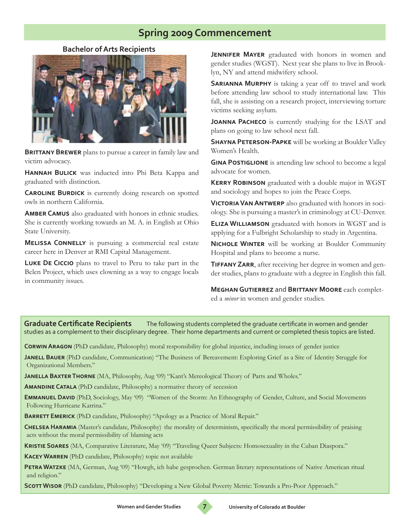## **Spring 2009 Commencement**

**Bachelor of Arts Recipients**



**BRITTANY BREWER** plans to pursue a career in family law and victim advocacy.

**Hannah Bulick** was inducted into Phi Beta Kappa and graduated with distinction.

**CAROLINE BURDICK** is currently doing research on spotted owls in northern California.

**Amber Camus** also graduated with honors in ethnic studies. She is currently working towards an M. A. in English at Ohio State University.

**MELISSA CONNELLY** is pursuing a commercial real estate career here in Denver at RMI Capital Management.

**Luke De Ciccio** plans to travel to Peru to take part in the Belen Project, which uses clowning as a way to engage locals in community issues.

**JENNIFER MAYER** graduated with honors in women and gender studies (WGST). Next year she plans to live in Brooklyn, NY and attend midwifery school.

**SARIANNA MURPHY** is taking a year off to travel and work before attending law school to study international law. This fall, she is assisting on a research project, interviewing torture victims seeking asylum.

**Joanna Pacheco** is currently studying for the LSAT and plans on going to law school next fall.

**SHAYNA PETERSON-PAPKE** will be working at Boulder Valley Women's Health.

**GINA POSTIGLIONE** is attending law school to become a legal advocate for women.

**Kerry Robinson** graduated with a double major in WGST and sociology and hopes to join the Peace Corps.

**VICTORIA VAN ANTWERP** also graduated with honors in sociology. She is pursuing a master's in criminology at CU-Denver.

**Eliza Williamson** graduated with honors in WGST and is applying for a Fulbright Scholarship to study in Argentina.

**Nichole Winter** will be working at Boulder Community Hospital and plans to become a nurse.

**Tiffany Zarr**, after receiving her degree in women and gender studies, plans to graduate with a degree in English this fall.

**Meghan Gutierrez** and **Brittany Moore** each completed a *minor* in women and gender studies.

**Graduate Certificate Recipients** The following students completed the graduate certificate in women and gender studies as a complement to their disciplinary degree. Their home departments and current or completed thesis topics are listed.

**Corwin Aragon** (PhD candidate, Philosophy) moral responsibility for global injustice, including issues of gender justice

**Janell Bauer** (PhD candidate, Communication) "The Business of Bereavement: Exploring Grief as a Site of Identity Struggle for Organizational Members."

**Janella Baxter Thorne** (MA, Philosophy, Aug '09) "Kant's Mereological Theory of Parts and Wholes."

**Amandine Catala** (PhD candidate, Philosophy) a normative theory of secession

**Emmanuel David** (PhD, Sociology, May '09) "Women of the Storm: An Ethnography of Gender, Culture, and Social Movements Following Hurricane Katrina."

**BARRETT EMERICK** (PhD candidate, Philosophy) "Apology as a Practice of Moral Repair."

**Chelsea Haramia** (Master's candidate, Philosophy)the morality of determinism, specifically the moral permissibility of praising acts without the moral permissibility of blaming acts

**Kristie Soares** (MA, Comparative Literature, May '09) "Traveling Queer Subjects: Homosexuality in the Cuban Diaspora."

**Kacey Warren** (PhD candidate, Philosophy) topic not available

**Petra Watzke** (MA, German, Aug '09) "Howgh, ich habe gesprochen. German literary representations of Native American ritual and religion."

**SCOTT WISOR** (PhD candidate, Philosophy) "Developing a New Global Poverty Metric: Towards a Pro-Poor Approach."